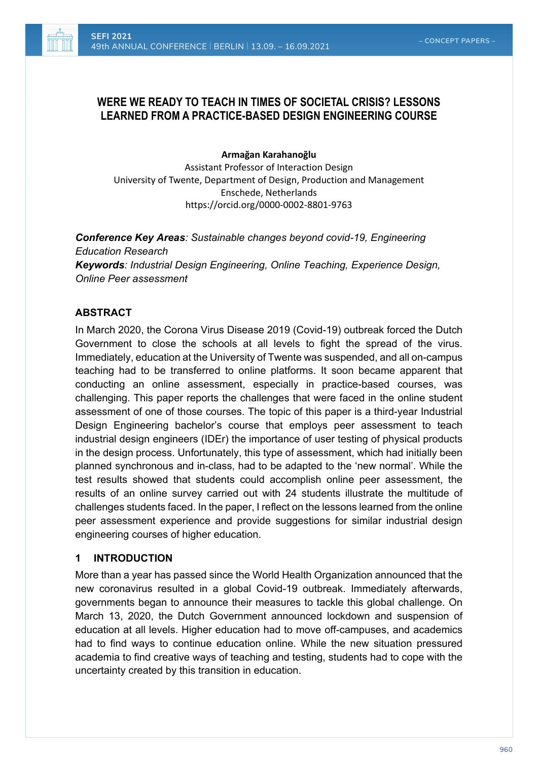# **WERE WE READY TO TEACH IN TIMES OF SOCIETAL CRISIS? LESSONS LEARNED FROM A PRACTICE-BASED DESIGN ENGINEERING COURSE**

#### **Armağan Karahanoğlu**

Assistant Professor of Interaction Design University of Twente, Department of Design, Production and Management Enschede, Netherlands https://orcid.org/0000-0002-8801-9763

*Conference Key Areas: Sustainable changes beyond covid-19, Engineering Education Research Keywords: Industrial Design Engineering, Online Teaching, Experience Design, Online Peer assessment*

### **ABSTRACT**

In March 2020, the Corona Virus Disease 2019 (Covid-19) outbreak forced the Dutch Government to close the schools at all levels to fight the spread of the virus. Immediately, education at the University of Twente was suspended, and all on-campus teaching had to be transferred to online platforms. It soon became apparent that conducting an online assessment, especially in practice-based courses, was challenging. This paper reports the challenges that were faced in the online student assessment of one of those courses. The topic of this paper is a third-year Industrial Design Engineering bachelor's course that employs peer assessment to teach industrial design engineers (IDEr) the importance of user testing of physical products in the design process. Unfortunately, this type of assessment, which had initially been planned synchronous and in-class, had to be adapted to the 'new normal'. While the test results showed that students could accomplish online peer assessment, the results of an online survey carried out with 24 students illustrate the multitude of challenges students faced. In the paper, I reflect on the lessons learned from the online peer assessment experience and provide suggestions for similar industrial design engineering courses of higher education.

## **1 INTRODUCTION**

More than a year has passed since the World Health Organization announced that the new coronavirus resulted in a global Covid-19 outbreak. Immediately afterwards, governments began to announce their measures to tackle this global challenge. On March 13, 2020, the Dutch Government announced lockdown and suspension of education at all levels. Higher education had to move off-campuses, and academics had to find ways to continue education online. While the new situation pressured academia to find creative ways of teaching and testing, students had to cope with the uncertainty created by this transition in education.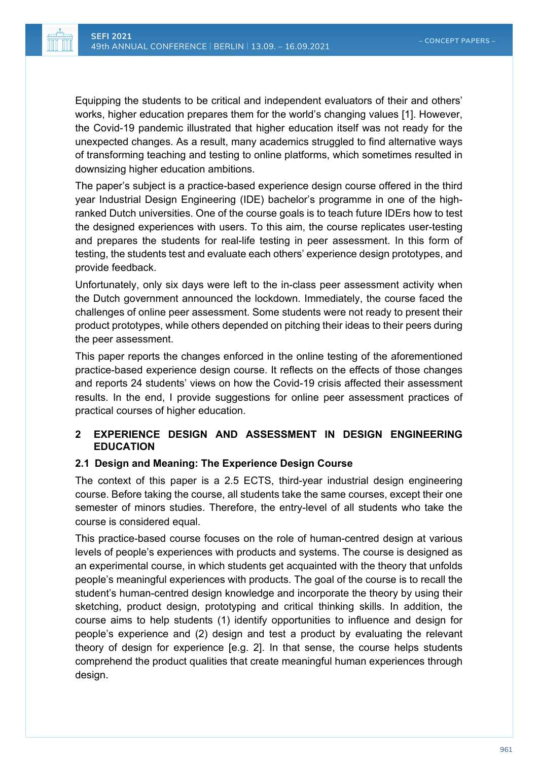Equipping the students to be critical and independent evaluators of their and others' works, higher education prepares them for the world's changing values [1]. However, the Covid-19 pandemic illustrated that higher education itself was not ready for the unexpected changes. As a result, many academics struggled to find alternative ways of transforming teaching and testing to online platforms, which sometimes resulted in downsizing higher education ambitions.

The paper's subject is a practice-based experience design course offered in the third year Industrial Design Engineering (IDE) bachelor's programme in one of the highranked Dutch universities. One of the course goals is to teach future IDErs how to test the designed experiences with users. To this aim, the course replicates user-testing and prepares the students for real-life testing in peer assessment. In this form of testing, the students test and evaluate each others' experience design prototypes, and provide feedback.

Unfortunately, only six days were left to the in-class peer assessment activity when the Dutch government announced the lockdown. Immediately, the course faced the challenges of online peer assessment. Some students were not ready to present their product prototypes, while others depended on pitching their ideas to their peers during the peer assessment.

This paper reports the changes enforced in the online testing of the aforementioned practice-based experience design course. It reflects on the effects of those changes and reports 24 students' views on how the Covid-19 crisis affected their assessment results. In the end, I provide suggestions for online peer assessment practices of practical courses of higher education.

## **2 EXPERIENCE DESIGN AND ASSESSMENT IN DESIGN ENGINEERING EDUCATION**

## **2.1 Design and Meaning: The Experience Design Course**

The context of this paper is a 2.5 ECTS, third-year industrial design engineering course. Before taking the course, all students take the same courses, except their one semester of minors studies. Therefore, the entry-level of all students who take the course is considered equal.

This practice-based course focuses on the role of human-centred design at various levels of people's experiences with products and systems. The course is designed as an experimental course, in which students get acquainted with the theory that unfolds people's meaningful experiences with products. The goal of the course is to recall the student's human-centred design knowledge and incorporate the theory by using their sketching, product design, prototyping and critical thinking skills. In addition, the course aims to help students (1) identify opportunities to influence and design for people's experience and (2) design and test a product by evaluating the relevant theory of design for experience [e.g. 2]. In that sense, the course helps students comprehend the product qualities that create meaningful human experiences through design.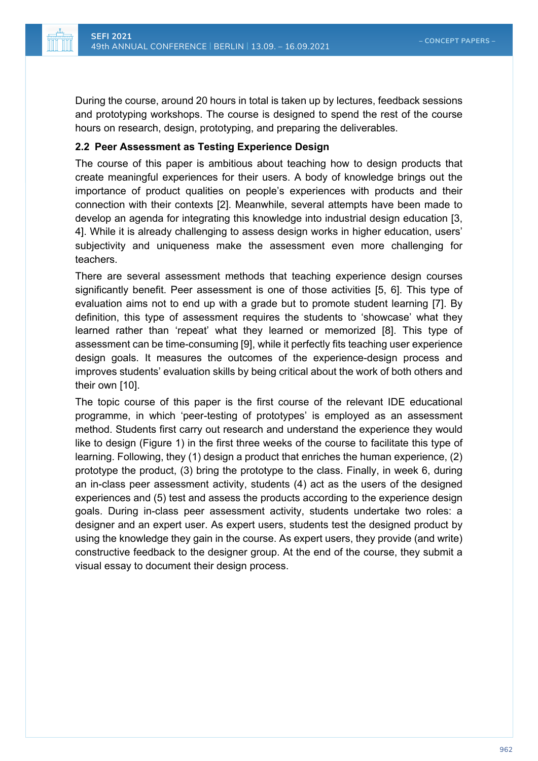During the course, around 20 hours in total is taken up by lectures, feedback sessions and prototyping workshops. The course is designed to spend the rest of the course hours on research, design, prototyping, and preparing the deliverables.

#### **2.2 Peer Assessment as Testing Experience Design**

The course of this paper is ambitious about teaching how to design products that create meaningful experiences for their users. A body of knowledge brings out the importance of product qualities on people's experiences with products and their connection with their contexts [2]. Meanwhile, several attempts have been made to develop an agenda for integrating this knowledge into industrial design education [3, 4]. While it is already challenging to assess design works in higher education, users' subjectivity and uniqueness make the assessment even more challenging for teachers.

There are several assessment methods that teaching experience design courses significantly benefit. Peer assessment is one of those activities [5, 6]. This type of evaluation aims not to end up with a grade but to promote student learning [7]. By definition, this type of assessment requires the students to 'showcase' what they learned rather than 'repeat' what they learned or memorized [8]. This type of assessment can be time-consuming [9], while it perfectly fits teaching user experience design goals. It measures the outcomes of the experience-design process and improves students' evaluation skills by being critical about the work of both others and their own [10].

The topic course of this paper is the first course of the relevant IDE educational programme, in which 'peer-testing of prototypes' is employed as an assessment method. Students first carry out research and understand the experience they would like to design (Figure 1) in the first three weeks of the course to facilitate this type of learning. Following, they (1) design a product that enriches the human experience, (2) prototype the product, (3) bring the prototype to the class. Finally, in week 6, during an in-class peer assessment activity, students (4) act as the users of the designed experiences and (5) test and assess the products according to the experience design goals. During in-class peer assessment activity, students undertake two roles: a designer and an expert user. As expert users, students test the designed product by using the knowledge they gain in the course. As expert users, they provide (and write) constructive feedback to the designer group. At the end of the course, they submit a visual essay to document their design process.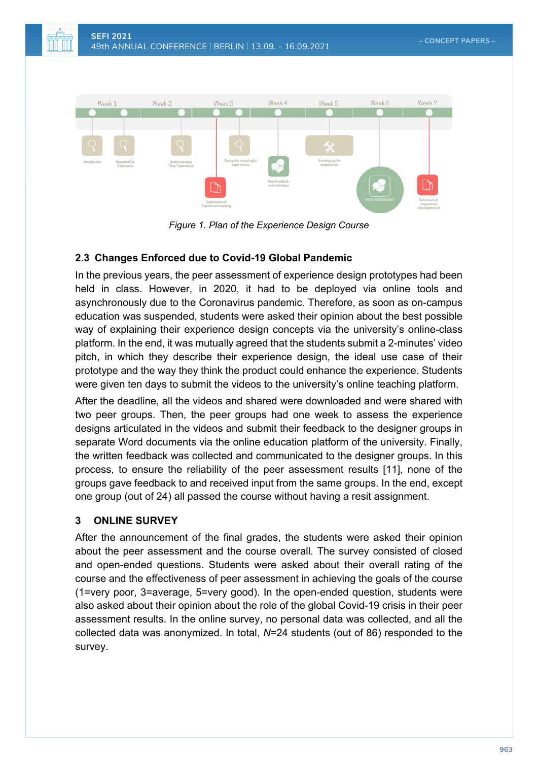

*Figure 1. Plan of the Experience Design Course*

## **2.3 Changes Enforced due to Covid-19 Global Pandemic**

In the previous years, the peer assessment of experience design prototypes had been held in class. However, in 2020, it had to be deployed via online tools and asynchronously due to the Coronavirus pandemic. Therefore, as soon as on-campus education was suspended, students were asked their opinion about the best possible way of explaining their experience design concepts via the university's online-class platform. In the end, it was mutually agreed that the students submit a 2-minutes' video pitch, in which they describe their experience design, the ideal use case of their prototype and the way they think the product could enhance the experience. Students were given ten days to submit the videos to the university's online teaching platform.

After the deadline, all the videos and shared were downloaded and were shared with two peer groups. Then, the peer groups had one week to assess the experience designs articulated in the videos and submit their feedback to the designer groups in separate Word documents via the online education platform of the university. Finally, the written feedback was collected and communicated to the designer groups. In this process, to ensure the reliability of the peer assessment results [11], none of the groups gave feedback to and received input from the same groups. In the end, except one group (out of 24) all passed the course without having a resit assignment.

## **3 ONLINE SURVEY**

After the announcement of the final grades, the students were asked their opinion about the peer assessment and the course overall. The survey consisted of closed and open-ended questions. Students were asked about their overall rating of the course and the effectiveness of peer assessment in achieving the goals of the course (1=very poor, 3=average, 5=very good). In the open-ended question, students were also asked about their opinion about the role of the global Covid-19 crisis in their peer assessment results. In the online survey, no personal data was collected, and all the collected data was anonymized. In total, *N*=24 students (out of 86) responded to the survey.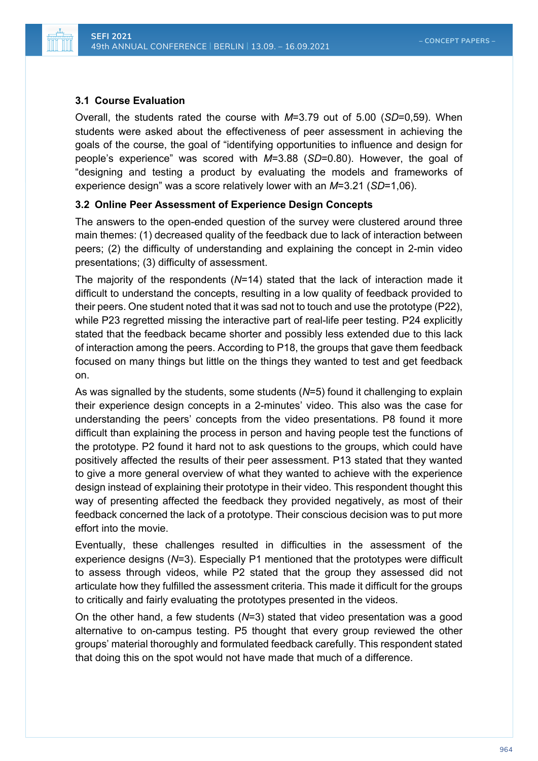### **3.1 Course Evaluation**

Overall, the students rated the course with *M*=3.79 out of 5.00 (*SD*=0,59). When students were asked about the effectiveness of peer assessment in achieving the goals of the course, the goal of "identifying opportunities to influence and design for people's experience" was scored with *M*=3.88 (*SD*=0.80). However, the goal of "designing and testing a product by evaluating the models and frameworks of experience design" was a score relatively lower with an *M*=3.21 (*SD*=1,06).

### **3.2 Online Peer Assessment of Experience Design Concepts**

The answers to the open-ended question of the survey were clustered around three main themes: (1) decreased quality of the feedback due to lack of interaction between peers; (2) the difficulty of understanding and explaining the concept in 2-min video presentations; (3) difficulty of assessment.

The majority of the respondents (*N*=14) stated that the lack of interaction made it difficult to understand the concepts, resulting in a low quality of feedback provided to their peers. One student noted that it was sad not to touch and use the prototype (P22), while P23 regretted missing the interactive part of real-life peer testing. P24 explicitly stated that the feedback became shorter and possibly less extended due to this lack of interaction among the peers. According to P18, the groups that gave them feedback focused on many things but little on the things they wanted to test and get feedback on.

As was signalled by the students, some students (*N*=5) found it challenging to explain their experience design concepts in a 2-minutes' video. This also was the case for understanding the peers' concepts from the video presentations. P8 found it more difficult than explaining the process in person and having people test the functions of the prototype. P2 found it hard not to ask questions to the groups, which could have positively affected the results of their peer assessment. P13 stated that they wanted to give a more general overview of what they wanted to achieve with the experience design instead of explaining their prototype in their video. This respondent thought this way of presenting affected the feedback they provided negatively, as most of their feedback concerned the lack of a prototype. Their conscious decision was to put more effort into the movie.

Eventually, these challenges resulted in difficulties in the assessment of the experience designs (*N*=3). Especially P1 mentioned that the prototypes were difficult to assess through videos, while P2 stated that the group they assessed did not articulate how they fulfilled the assessment criteria. This made it difficult for the groups to critically and fairly evaluating the prototypes presented in the videos.

On the other hand, a few students (*N*=3) stated that video presentation was a good alternative to on-campus testing. P5 thought that every group reviewed the other groups' material thoroughly and formulated feedback carefully. This respondent stated that doing this on the spot would not have made that much of a difference.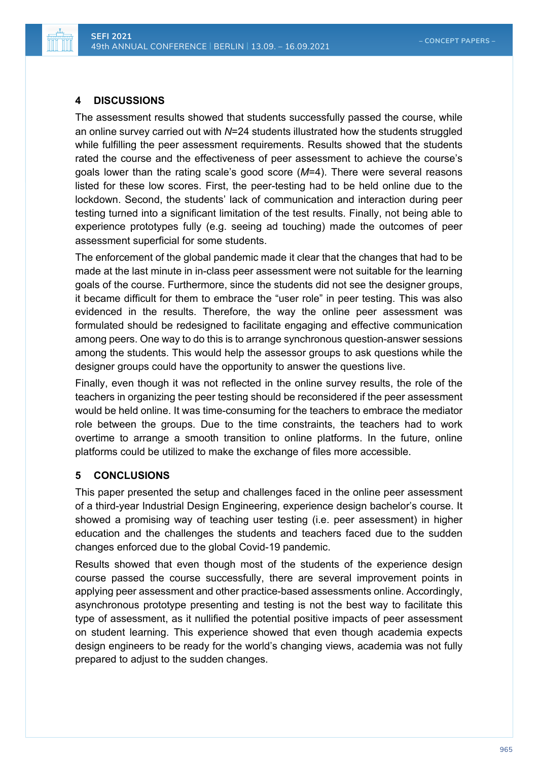### **4 DISCUSSIONS**

The assessment results showed that students successfully passed the course, while an online survey carried out with *N*=24 students illustrated how the students struggled while fulfilling the peer assessment requirements. Results showed that the students rated the course and the effectiveness of peer assessment to achieve the course's goals lower than the rating scale's good score (*M*=4). There were several reasons listed for these low scores. First, the peer-testing had to be held online due to the lockdown. Second, the students' lack of communication and interaction during peer testing turned into a significant limitation of the test results. Finally, not being able to experience prototypes fully (e.g. seeing ad touching) made the outcomes of peer assessment superficial for some students.

The enforcement of the global pandemic made it clear that the changes that had to be made at the last minute in in-class peer assessment were not suitable for the learning goals of the course. Furthermore, since the students did not see the designer groups, it became difficult for them to embrace the "user role" in peer testing. This was also evidenced in the results. Therefore, the way the online peer assessment was formulated should be redesigned to facilitate engaging and effective communication among peers. One way to do this is to arrange synchronous question-answer sessions among the students. This would help the assessor groups to ask questions while the designer groups could have the opportunity to answer the questions live.

Finally, even though it was not reflected in the online survey results, the role of the teachers in organizing the peer testing should be reconsidered if the peer assessment would be held online. It was time-consuming for the teachers to embrace the mediator role between the groups. Due to the time constraints, the teachers had to work overtime to arrange a smooth transition to online platforms. In the future, online platforms could be utilized to make the exchange of files more accessible.

#### **5 CONCLUSIONS**

This paper presented the setup and challenges faced in the online peer assessment of a third-year Industrial Design Engineering, experience design bachelor's course. It showed a promising way of teaching user testing (i.e. peer assessment) in higher education and the challenges the students and teachers faced due to the sudden changes enforced due to the global Covid-19 pandemic.

Results showed that even though most of the students of the experience design course passed the course successfully, there are several improvement points in applying peer assessment and other practice-based assessments online. Accordingly, asynchronous prototype presenting and testing is not the best way to facilitate this type of assessment, as it nullified the potential positive impacts of peer assessment on student learning. This experience showed that even though academia expects design engineers to be ready for the world's changing views, academia was not fully prepared to adjust to the sudden changes.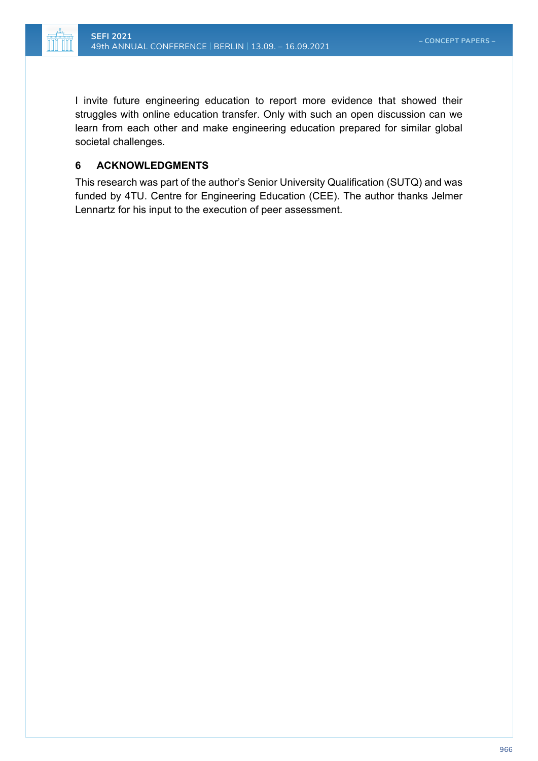I invite future engineering education to report more evidence that showed their struggles with online education transfer. Only with such an open discussion can we learn from each other and make engineering education prepared for similar global societal challenges.

#### **6 ACKNOWLEDGMENTS**

This research was part of the author's Senior University Qualification (SUTQ) and was funded by 4TU. Centre for Engineering Education (CEE). The author thanks Jelmer Lennartz for his input to the execution of peer assessment.